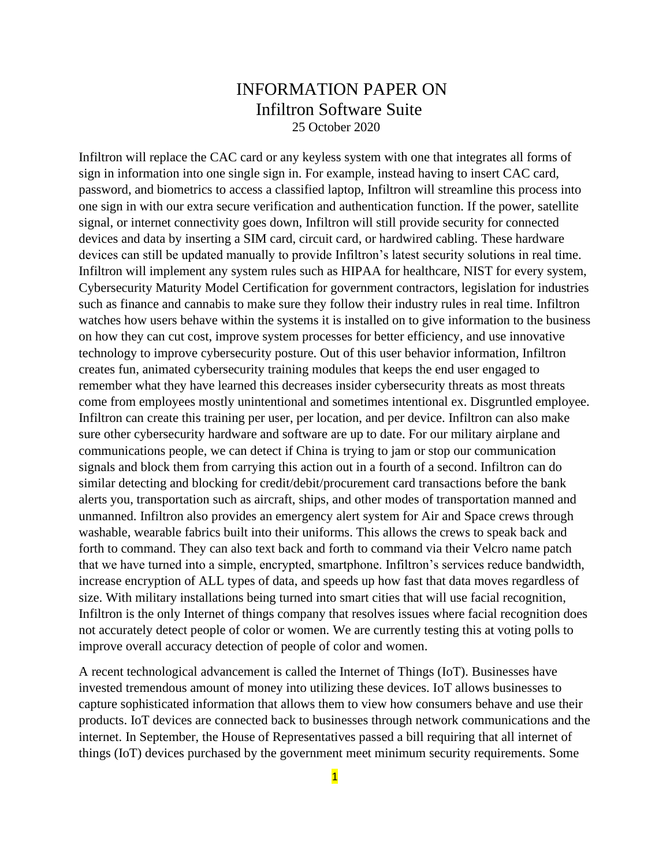## INFORMATION PAPER ON Infiltron Software Suite 25 October 2020

Infiltron will replace the CAC card or any keyless system with one that integrates all forms of sign in information into one single sign in. For example, instead having to insert CAC card, password, and biometrics to access a classified laptop, Infiltron will streamline this process into one sign in with our extra secure verification and authentication function. If the power, satellite signal, or internet connectivity goes down, Infiltron will still provide security for connected devices and data by inserting a SIM card, circuit card, or hardwired cabling. These hardware devices can still be updated manually to provide Infiltron's latest security solutions in real time. Infiltron will implement any system rules such as HIPAA for healthcare, NIST for every system, Cybersecurity Maturity Model Certification for government contractors, legislation for industries such as finance and cannabis to make sure they follow their industry rules in real time. Infiltron watches how users behave within the systems it is installed on to give information to the business on how they can cut cost, improve system processes for better efficiency, and use innovative technology to improve cybersecurity posture. Out of this user behavior information, Infiltron creates fun, animated cybersecurity training modules that keeps the end user engaged to remember what they have learned this decreases insider cybersecurity threats as most threats come from employees mostly unintentional and sometimes intentional ex. Disgruntled employee. Infiltron can create this training per user, per location, and per device. Infiltron can also make sure other cybersecurity hardware and software are up to date. For our military airplane and communications people, we can detect if China is trying to jam or stop our communication signals and block them from carrying this action out in a fourth of a second. Infiltron can do similar detecting and blocking for credit/debit/procurement card transactions before the bank alerts you, transportation such as aircraft, ships, and other modes of transportation manned and unmanned. Infiltron also provides an emergency alert system for Air and Space crews through washable, wearable fabrics built into their uniforms. This allows the crews to speak back and forth to command. They can also text back and forth to command via their Velcro name patch that we have turned into a simple, encrypted, smartphone. Infiltron's services reduce bandwidth, increase encryption of ALL types of data, and speeds up how fast that data moves regardless of size. With military installations being turned into smart cities that will use facial recognition, Infiltron is the only Internet of things company that resolves issues where facial recognition does not accurately detect people of color or women. We are currently testing this at voting polls to improve overall accuracy detection of people of color and women.

A recent technological advancement is called the Internet of Things (IoT). Businesses have invested tremendous amount of money into utilizing these devices. IoT allows businesses to capture sophisticated information that allows them to view how consumers behave and use their products. IoT devices are connected back to businesses through network communications and the internet. In September, the House of Representatives passed a bill requiring that all internet of things (IoT) devices purchased by the government meet minimum security requirements. Some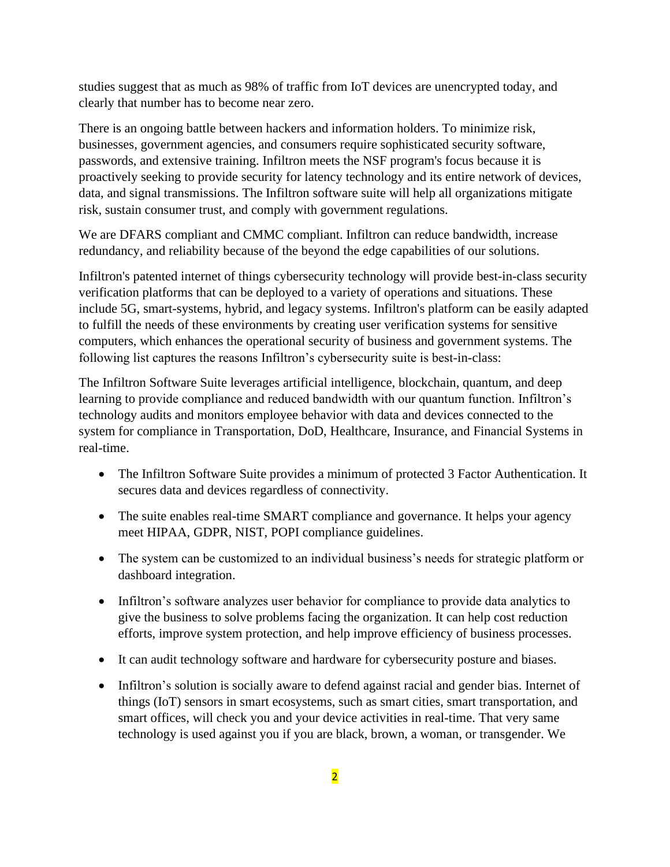studies suggest that as much as 98% of traffic from IoT devices are unencrypted today, and clearly that number has to become near zero.

There is an ongoing battle between hackers and information holders. To minimize risk, businesses, government agencies, and consumers require sophisticated security software, passwords, and extensive training. Infiltron meets the NSF program's focus because it is proactively seeking to provide security for latency technology and its entire network of devices, data, and signal transmissions. The Infiltron software suite will help all organizations mitigate risk, sustain consumer trust, and comply with government regulations.

We are DFARS compliant and CMMC compliant. Infiltron can reduce bandwidth, increase redundancy, and reliability because of the beyond the edge capabilities of our solutions.

Infiltron's patented internet of things cybersecurity technology will provide best-in-class security verification platforms that can be deployed to a variety of operations and situations. These include 5G, smart-systems, hybrid, and legacy systems. Infiltron's platform can be easily adapted to fulfill the needs of these environments by creating user verification systems for sensitive computers, which enhances the operational security of business and government systems. The following list captures the reasons Infiltron's cybersecurity suite is best-in-class:

The Infiltron Software Suite leverages artificial intelligence, blockchain, quantum, and deep learning to provide compliance and reduced bandwidth with our quantum function. Infiltron's technology audits and monitors employee behavior with data and devices connected to the system for compliance in Transportation, DoD, Healthcare, Insurance, and Financial Systems in real-time.

- The Infiltron Software Suite provides a minimum of protected 3 Factor Authentication. It secures data and devices regardless of connectivity.
- The suite enables real-time SMART compliance and governance. It helps your agency meet HIPAA, GDPR, NIST, POPI compliance guidelines.
- The system can be customized to an individual business's needs for strategic platform or dashboard integration.
- Infiltron's software analyzes user behavior for compliance to provide data analytics to give the business to solve problems facing the organization. It can help cost reduction efforts, improve system protection, and help improve efficiency of business processes.
- It can audit technology software and hardware for cybersecurity posture and biases.
- Infiltron's solution is socially aware to defend against racial and gender bias. Internet of things (IoT) sensors in smart ecosystems, such as smart cities, smart transportation, and smart offices, will check you and your device activities in real-time. That very same technology is used against you if you are black, brown, a woman, or transgender. We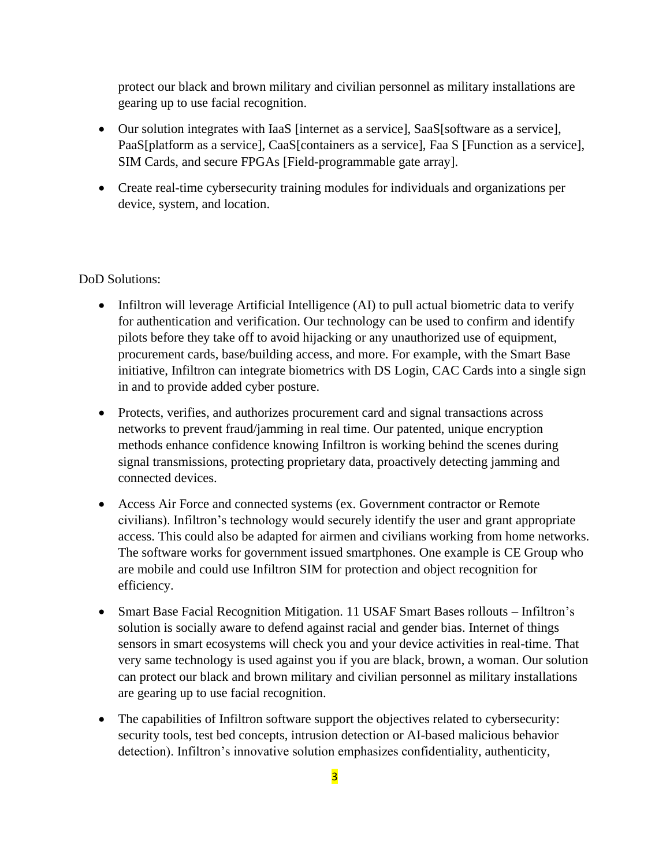protect our black and brown military and civilian personnel as military installations are gearing up to use facial recognition.

- Our solution integrates with IaaS [internet as a service], SaaS[software as a service], PaaS[platform as a service], CaaS[containers as a service], Faa S [Function as a service], SIM Cards, and secure FPGAs [Field-programmable gate array].
- Create real-time cybersecurity training modules for individuals and organizations per device, system, and location.

DoD Solutions:

- Infiltron will leverage Artificial Intelligence (AI) to pull actual biometric data to verify for authentication and verification. Our technology can be used to confirm and identify pilots before they take off to avoid hijacking or any unauthorized use of equipment, procurement cards, base/building access, and more. For example, with the Smart Base initiative, Infiltron can integrate biometrics with DS Login, CAC Cards into a single sign in and to provide added cyber posture.
- Protects, verifies, and authorizes procurement card and signal transactions across networks to prevent fraud/jamming in real time. Our patented, unique encryption methods enhance confidence knowing Infiltron is working behind the scenes during signal transmissions, protecting proprietary data, proactively detecting jamming and connected devices.
- Access Air Force and connected systems (ex. Government contractor or Remote civilians). Infiltron's technology would securely identify the user and grant appropriate access. This could also be adapted for airmen and civilians working from home networks. The software works for government issued smartphones. One example is CE Group who are mobile and could use Infiltron SIM for protection and object recognition for efficiency.
- Smart Base Facial Recognition Mitigation. 11 USAF Smart Bases rollouts Infiltron's solution is socially aware to defend against racial and gender bias. Internet of things sensors in smart ecosystems will check you and your device activities in real-time. That very same technology is used against you if you are black, brown, a woman. Our solution can protect our black and brown military and civilian personnel as military installations are gearing up to use facial recognition.
- The capabilities of Infiltron software support the objectives related to cybersecurity: security tools, test bed concepts, intrusion detection or AI-based malicious behavior detection). Infiltron's innovative solution emphasizes confidentiality, authenticity,